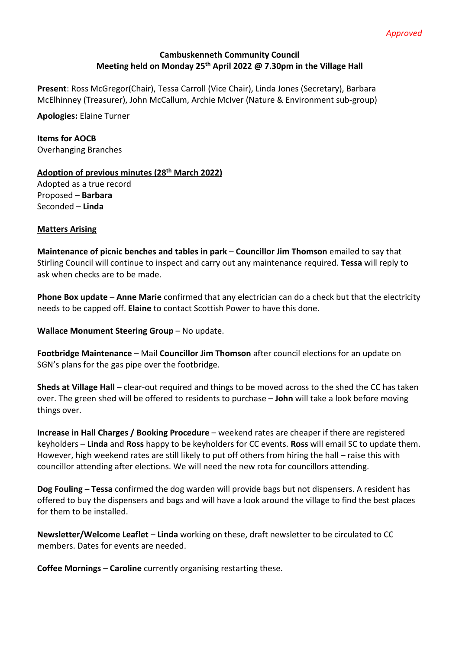# **Cambuskenneth Community Council Meeting held on Monday 25th April 2022 @ 7.30pm in the Village Hall**

**Present**: Ross McGregor(Chair), Tessa Carroll (Vice Chair), Linda Jones (Secretary), Barbara McElhinney (Treasurer), John McCallum, Archie McIver (Nature & Environment sub-group)

**Apologies:** Elaine Turner

**Items for AOCB**  Overhanging Branches

# **Adoption of previous minutes (28th March 2022)**

Adopted as a true record Proposed – **Barbara**  Seconded – **Linda** 

# **Matters Arising**

**Maintenance of picnic benches and tables in park** – **Councillor Jim Thomson** emailed to say that Stirling Council will continue to inspect and carry out any maintenance required. **Tessa** will reply to ask when checks are to be made.

**Phone Box update** – **Anne Marie** confirmed that any electrician can do a check but that the electricity needs to be capped off. **Elaine** to contact Scottish Power to have this done.

**Wallace Monument Steering Group - No update.** 

**Footbridge Maintenance** – Mail **Councillor Jim Thomson** after council elections for an update on SGN's plans for the gas pipe over the footbridge.

**Sheds at Village Hall** – clear-out required and things to be moved across to the shed the CC has taken over. The green shed will be offered to residents to purchase – **John** will take a look before moving things over.

**Increase in Hall Charges / Booking Procedure** – weekend rates are cheaper if there are registered keyholders – **Linda** and **Ross** happy to be keyholders for CC events. **Ross** will email SC to update them. However, high weekend rates are still likely to put off others from hiring the hall – raise this with councillor attending after elections. We will need the new rota for councillors attending.

**Dog Fouling – Tessa** confirmed the dog warden will provide bags but not dispensers. A resident has offered to buy the dispensers and bags and will have a look around the village to find the best places for them to be installed.

**Newsletter/Welcome Leaflet** – **Linda** working on these, draft newsletter to be circulated to CC members. Dates for events are needed.

**Coffee Mornings** – **Caroline** currently organising restarting these.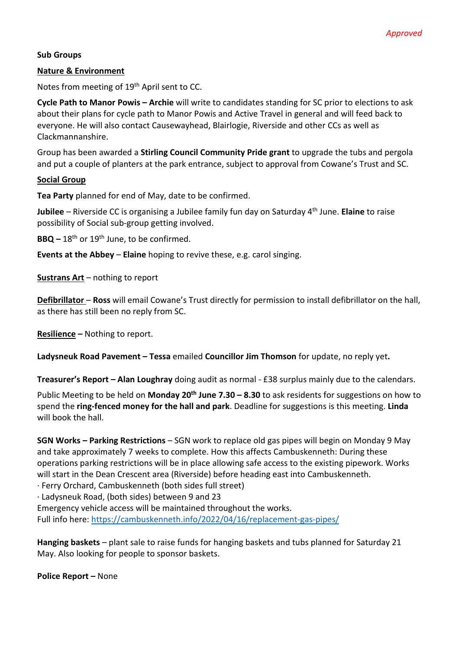# **Sub Groups**

# **Nature & Environment**

Notes from meeting of 19th April sent to CC.

**Cycle Path to Manor Powis – Archie** will write to candidates standing for SC prior to elections to ask about their plans for cycle path to Manor Powis and Active Travel in general and will feed back to everyone. He will also contact Causewayhead, Blairlogie, Riverside and other CCs as well as Clackmannanshire.

Group has been awarded a **Stirling Council Community Pride grant** to upgrade the tubs and pergola and put a couple of planters at the park entrance, subject to approval from Cowane's Trust and SC.

#### **Social Group**

**Tea Party** planned for end of May, date to be confirmed.

**Jubilee** – Riverside CC is organising a Jubilee family fun day on Saturday 4th June. **Elaine** to raise possibility of Social sub-group getting involved.

BBQ – 18<sup>th</sup> or 19<sup>th</sup> June, to be confirmed.

**Events at the Abbey** – **Elaine** hoping to revive these, e.g. carol singing.

**Sustrans Art** – nothing to report

**Defibrillator** – **Ross** will email Cowane's Trust directly for permission to install defibrillator on the hall, as there has still been no reply from SC.

**Resilience –** Nothing to report.

**Ladysneuk Road Pavement – Tessa** emailed **Councillor Jim Thomson** for update, no reply yet**.** 

**Treasurer's Report – Alan Loughray** doing audit as normal - £38 surplus mainly due to the calendars.

Public Meeting to be held on **Monday 20th June 7.30 – 8.30** to ask residents for suggestions on how to spend the **ring-fenced money for the hall and park**. Deadline for suggestions is this meeting. **Linda** will book the hall.

**SGN Works – Parking Restrictions** – SGN work to replace old gas pipes will begin on Monday 9 May and take approximately 7 weeks to complete. How this affects Cambuskenneth: During these operations parking restrictions will be in place allowing safe access to the existing pipework. Works will start in the Dean Crescent area (Riverside) before heading east into Cambuskenneth. · Ferry Orchard, Cambuskenneth (both sides full street)

· Ladysneuk Road, (both sides) between 9 and 23

Emergency vehicle access will be maintained throughout the works.

Full info here: https://cambuskenneth.info/2022/04/16/replacement-gas-pipes/

**Hanging baskets** – plant sale to raise funds for hanging baskets and tubs planned for Saturday 21 May. Also looking for people to sponsor baskets.

**Police Report –** None